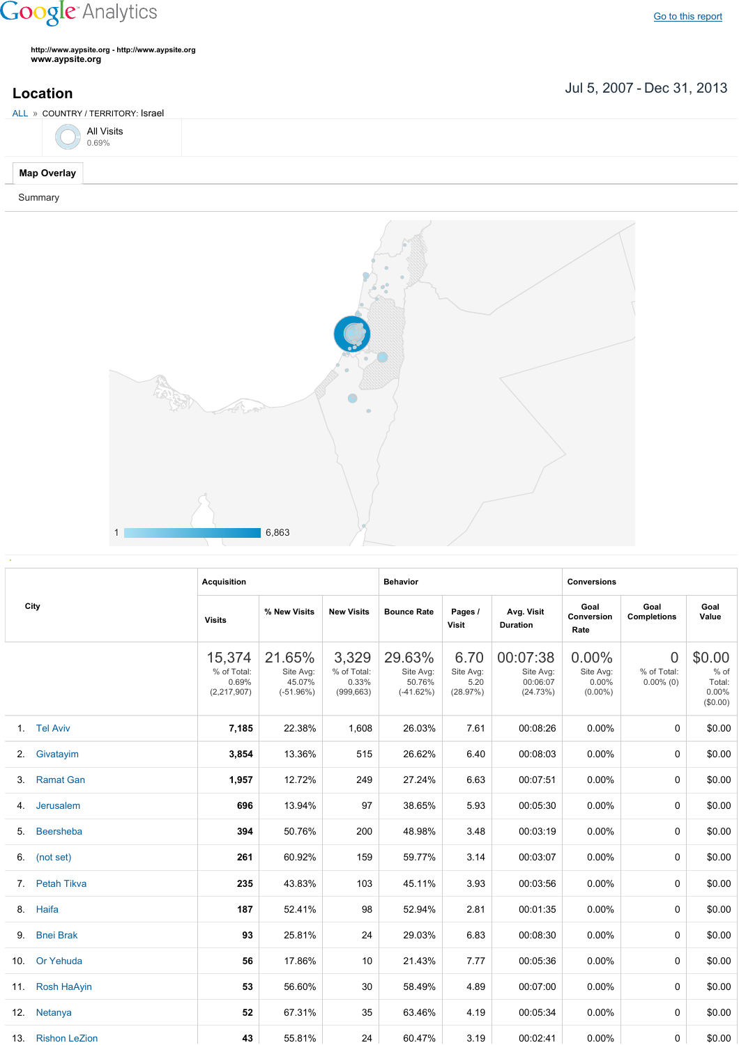## **Google** Analytics

**http://www.aypsite.org http://www.aypsite.org www.aypsite.org**

**Location** Jul 5, 2007 - Dec 31, 2013

| ALL » COUNTRY / TERRITORY: Israel |  |
|-----------------------------------|--|
| All Visits<br><sub>0.69%</sub>    |  |
| <b>Map Overlay</b>                |  |

Summary



|  | City              | <b>Acquisition</b>                              |                                              |                                             | <b>Behavior</b>                              |                                       |                                               | <b>Conversions</b>                              |                                               |                                               |
|--|-------------------|-------------------------------------------------|----------------------------------------------|---------------------------------------------|----------------------------------------------|---------------------------------------|-----------------------------------------------|-------------------------------------------------|-----------------------------------------------|-----------------------------------------------|
|  |                   | <b>Visits</b>                                   | % New Visits                                 | <b>New Visits</b>                           | <b>Bounce Rate</b>                           | Pages /<br>Visit                      | Avg. Visit<br><b>Duration</b>                 | Goal<br>Conversion<br>Rate                      | Goal<br><b>Completions</b>                    | Goal<br>Value                                 |
|  |                   | 15,374<br>% of Total:<br>0.69%<br>(2, 217, 907) | 21.65%<br>Site Avg:<br>45.07%<br>$(-51.96%)$ | 3,329<br>% of Total:<br>0.33%<br>(999, 663) | 29.63%<br>Site Avg:<br>50.76%<br>$(-41.62%)$ | 6.70<br>Site Avg:<br>5.20<br>(28.97%) | 00:07:38<br>Site Avg:<br>00:06:07<br>(24.73%) | $0.00\%$<br>Site Avg:<br>$0.00\%$<br>$(0.00\%)$ | $\overline{0}$<br>% of Total:<br>$0.00\%$ (0) | \$0.00<br>% of<br>Total:<br>0.00%<br>(\$0.00) |
|  | 1. Tel Aviv       | 7,185                                           | 22.38%                                       | 1,608                                       | 26.03%                                       | 7.61                                  | 00:08:26                                      | 0.00%                                           | $\Omega$                                      | \$0.00                                        |
|  | 2. Givatayim      | 3,854                                           | 13.36%                                       | 515                                         | 26.62%                                       | 6.40                                  | 00:08:03                                      | 0.00%                                           | $\Omega$                                      | \$0.00                                        |
|  | 3. Ramat Gan      | 1,957                                           | 12.72%                                       | 249                                         | 27.24%                                       | 6.63                                  | 00:07:51                                      | 0.00%                                           | $\Omega$                                      | \$0.00                                        |
|  | 4. Jerusalem      | 696                                             | 13.94%                                       | 97                                          | 38.65%                                       | 5.93                                  | 00:05:30                                      | 0.00%                                           | 0                                             | \$0.00                                        |
|  | 5. Beersheba      | 394                                             | 50.76%                                       | 200                                         | 48.98%                                       | 3.48                                  | 00:03:19                                      | 0.00%                                           | 0                                             | \$0.00                                        |
|  | 6. (not set)      | 261                                             | 60.92%                                       | 159                                         | 59.77%                                       | 3.14                                  | 00:03:07                                      | 0.00%                                           | 0                                             | \$0.00                                        |
|  | 7. Petah Tikva    | 235                                             | 43.83%                                       | 103                                         | 45.11%                                       | 3.93                                  | 00:03:56                                      | 0.00%                                           | $\Omega$                                      | \$0.00                                        |
|  | 8. Haifa          | 187                                             | 52.41%                                       | 98                                          | 52.94%                                       | 2.81                                  | 00:01:35                                      | 0.00%                                           | $\Omega$                                      | \$0.00                                        |
|  | 9. Bnei Brak      | 93                                              | 25.81%                                       | 24                                          | 29.03%                                       | 6.83                                  | 00:08:30                                      | 0.00%                                           | $\Omega$                                      | \$0.00                                        |
|  | 10. Or Yehuda     | 56                                              | 17.86%                                       | 10                                          | 21.43%                                       | 7.77                                  | 00:05:36                                      | $0.00\%$                                        | $\Omega$                                      | \$0.00                                        |
|  | 11. Rosh HaAyin   | 53                                              | 56.60%                                       | 30                                          | 58.49%                                       | 4.89                                  | 00:07:00                                      | $0.00\%$                                        | $\Omega$                                      | \$0.00                                        |
|  | 12. Netanya       | 52                                              | 67.31%                                       | 35                                          | 63.46%                                       | 4.19                                  | 00:05:34                                      | $0.00\%$                                        | 0                                             | \$0.00                                        |
|  | 13. Rishon LeZion | 43                                              | 55.81%                                       | 24                                          | 60.47%                                       | 3.19                                  | 00:02:41                                      | $0.00\%$                                        | 0                                             | \$0.00                                        |